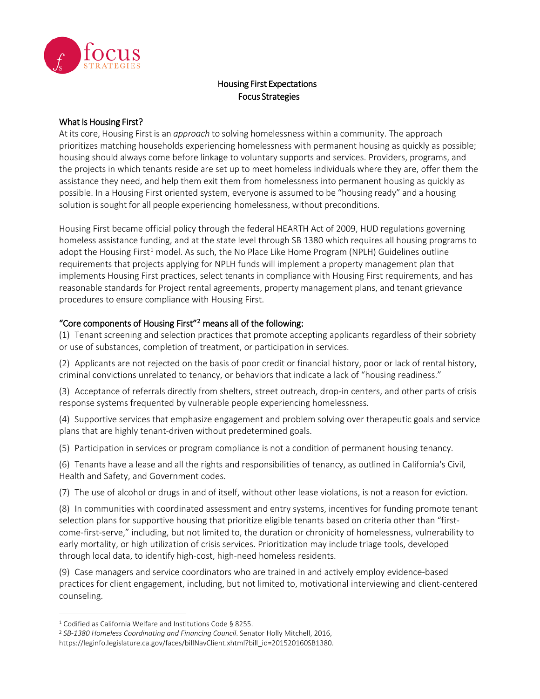

## Housing First Expectations Focus Strategies

## What is Housing First?

At its core, Housing First is an *approach* to solving homelessness within a community. The approach prioritizes matching households experiencing homelessness with permanent housing as quickly as possible; housing should always come before linkage to voluntary supports and services. Providers, programs, and the projects in which tenants reside are set up to meet homeless individuals where they are, offer them the assistance they need, and help them exit them from homelessness into permanent housing as quickly as possible. In a Housing First oriented system, everyone is assumed to be "housing ready" and a housing solution is sought for all people experiencing homelessness, without preconditions.

Housing First became official policy through the federal HEARTH Act of 2009, HUD regulations governing homeless assistance funding, and at the state level through SB 1380 which requires all housing programs to adopt the Housing First<sup>[1](#page-0-0)</sup> model. As such, the No Place Like Home Program (NPLH) Guidelines outline requirements that projects applying for NPLH funds will implement a property management plan that implements Housing First practices, select tenants in compliance with Housing First requirements, and has reasonable standards for Project rental agreements, property management plans, and tenant grievance procedures to ensure compliance with Housing First.

## "Core components of Housing First"[2](#page-0-1) means all of the following:

(1) Tenant screening and selection practices that promote accepting applicants regardless of their sobriety or use of substances, completion of treatment, or participation in services.

(2) Applicants are not rejected on the basis of poor credit or financial history, poor or lack of rental history, criminal convictions unrelated to tenancy, or behaviors that indicate a lack of "housing readiness."

(3) Acceptance of referrals directly from shelters, street outreach, drop-in centers, and other parts of crisis response systems frequented by vulnerable people experiencing homelessness.

(4) Supportive services that emphasize engagement and problem solving over therapeutic goals and service plans that are highly tenant-driven without predetermined goals.

(5) Participation in services or program compliance is not a condition of permanent housing tenancy.

(6) Tenants have a lease and all the rights and responsibilities of tenancy, as outlined in California's Civil, Health and Safety, and Government codes.

(7) The use of alcohol or drugs in and of itself, without other lease violations, is not a reason for eviction.

(8) In communities with coordinated assessment and entry systems, incentives for funding promote tenant selection plans for supportive housing that prioritize eligible tenants based on criteria other than "firstcome-first-serve," including, but not limited to, the duration or chronicity of homelessness, vulnerability to early mortality, or high utilization of crisis services. Prioritization may include triage tools, developed through local data, to identify high-cost, high-need homeless residents.

(9) Case managers and service coordinators who are trained in and actively employ evidence-based practices for client engagement, including, but not limited to, motivational interviewing and client-centered counseling.

 $\overline{\phantom{a}}$ 

<span id="page-0-0"></span><sup>1</sup> Codified as California Welfare and Institutions Code § 8255.

<span id="page-0-1"></span><sup>2</sup> *SB-1380 Homeless Coordinating and Financing Council*. Senator Holly Mitchell, 2016, https://leginfo.legislature.ca.gov/faces/billNavClient.xhtml?bill\_id=201520160SB1380.